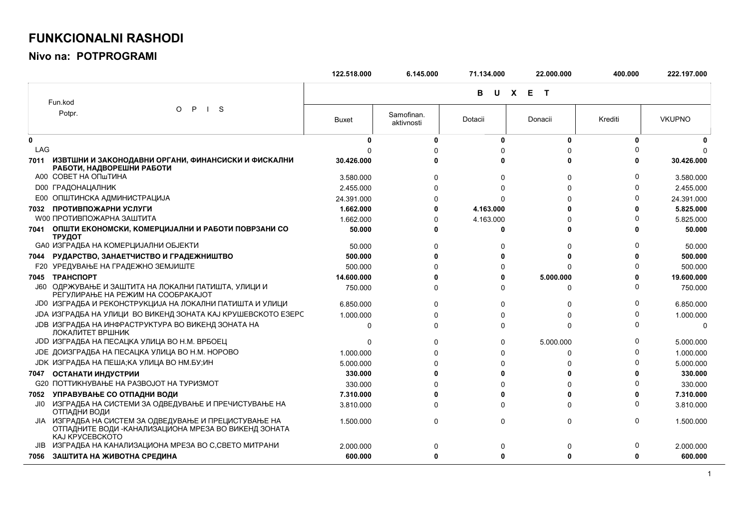## **FUNKCIONALNI RASHODI**

Nivo na: POTPROGRAMI

|      |                                                                                                                                           | 122.518.000  | 6.145.000                | 71.134.000 | 22.000.000            | 400.000  | 222.197.000   |
|------|-------------------------------------------------------------------------------------------------------------------------------------------|--------------|--------------------------|------------|-----------------------|----------|---------------|
|      | Fun.kod                                                                                                                                   |              |                          | в          | U X E<br>$\mathbf{T}$ |          |               |
|      | $\mathsf{P}$<br>$\vert$ S<br>$\circ$<br>Potpr.                                                                                            | <b>Buxet</b> | Samofinan.<br>aktivnosti | Dotacii    | Donacii               | Krediti  | <b>VKUPNO</b> |
| 0    |                                                                                                                                           | O            | $\mathbf{0}$             | 0          | 0                     | 0        |               |
| LAG  |                                                                                                                                           |              |                          |            | U                     |          |               |
| 7011 | ИЗВТШНИ И ЗАКОНОДАВНИ ОРГАНИ, ФИНАНСИСКИ И ФИСКАЛНИ<br>РАБОТИ, НАДВОРЕШНИ РАБОТИ                                                          | 30.426.000   |                          | n          | <sup>0</sup>          |          | 30.426.000    |
|      | A00 COBET HA ONLTMHA                                                                                                                      | 3.580.000    | U                        | ŋ          | 0                     |          | 3.580.000     |
|      | <b>D00 ГРАДОНАЦАЛНИК</b>                                                                                                                  | 2.455.000    |                          |            | $\Omega$              |          | 2.455.000     |
|      | Е00 ОПШТИНСКА АДМИНИСТРАЦИЈА                                                                                                              | 24.391.000   |                          |            | U                     |          | 24.391.000    |
| 7032 | ПРОТИВПОЖАРНИ УСЛУГИ                                                                                                                      | 1.662.000    |                          | 4.163.000  | n                     |          | 5.825.000     |
|      | <b>W00 ПРОТИВПОЖАРНА ЗАШТИТА</b>                                                                                                          | 1.662.000    | n                        | 4.163.000  | U                     |          | 5.825.000     |
|      | 7041 ОПШТИ ЕКОНОМСКИ, КОМЕРЦИЈАЛНИ И РАБОТИ ПОВРЗАНИ СО<br>ТРУДОТ                                                                         | 50.000       |                          | O          | 0                     |          | 50.000        |
|      | СА0 ИЗГРАДБА НА КОМЕРЦИЈАЛНИ ОБЈЕКТИ                                                                                                      | 50.000       | U                        | 0          | $\Omega$              |          | 50.000        |
|      | 7044 РУДАРСТВО, ЗАНАЕТЧИСТВО И ГРАДЕЖНИШТВО                                                                                               | 500.000      |                          | U          | Û                     |          | 500.000       |
|      | <b>F20 УРЕДУВАЊЕ НА ГРАДЕЖНО ЗЕМЈИШТЕ</b>                                                                                                 | 500.000      |                          | ŋ          | $\Omega$              |          | 500.000       |
| 7045 | <b>TPAHCNOPT</b>                                                                                                                          | 14.600.000   |                          | ŋ          | 5.000.000             |          | 19.600.000    |
|      | Ј60 ОДРЖУВАЊЕ И ЗАШТИТА НА ЛОКАЛНИ ПАТИШТА, УЛИЦИ И<br>РЕГУЛИРАЊЕ НА РЕЖИМ НА СООБРАКАЈОТ                                                 | 750.000      | n                        | ŋ          | $\Omega$              |          | 750.000       |
|      | ЈОО ИЗГРАДБА И РЕКОНСТРУКЦИЈА НА ЛОКАЛНИ ПАТИШТА И УЛИЦИ                                                                                  | 6.850.000    | U                        | 0          | $\Omega$              |          | 6.850.000     |
|      | ЈОА ИЗГРАДБА НА УЛИЦИ ВО ВИКЕНД ЗОНАТА КАЈ КРУШЕВСКОТО ЕЗЕРС                                                                              | 1.000.000    |                          | U          | $\Omega$              |          | 1.000.000     |
|      | <b>JDB ИЗГРАДБА НА ИНФРАСТРУКТУРА ВО ВИКЕНД ЗОНАТА НА</b><br>ЛОКАЛИТЕТ ВРШНИК                                                             | $\Omega$     | n                        | 0          | $\Omega$              |          | $\Omega$      |
|      | ЈОО ИЗГРАДБА НА ПЕСАЦКА УЛИЦА ВО Н.М. ВРБОЕЦ                                                                                              | $\Omega$     | U                        | 0          | 5.000.000             |          | 5.000.000     |
|      | ЈОЕ ДОИЗГРАДБА НА ПЕСАЦКА УЛИЦА ВО Н.М. НОРОВО                                                                                            | 1.000.000    |                          | O          | 0                     |          | 1.000.000     |
|      | ЈОК ИЗГРАДБА НА ПЕША; КА УЛИЦА ВО НМ.БУ; ИН                                                                                               | 5.000.000    |                          | 0          | U                     |          | 5.000.000     |
| 7047 | ОСТАНАТИ ИНДУСТРИИ                                                                                                                        | 330,000      |                          | U          | U                     |          | 330,000       |
|      | <b>G20 ПОТТИКНУВАЊЕ НА РАЗВОЈОТ НА ТУРИЗМОТ</b>                                                                                           | 330.000      |                          | U          | U                     |          | 330.000       |
| 7052 | УПРАВУВАЊЕ СО ОТПАДНИ ВОДИ                                                                                                                | 7.310.000    |                          | U          | U                     |          | 7.310.000     |
| JIO. | ИЗГРАДБА НА СИСТЕМИ ЗА ОДВЕДУВАЊЕ И ПРЕЧИСТУВАЊЕ НА<br>ОТПАДНИ ВОДИ                                                                       | 3.810.000    |                          | 0          | $\Omega$              | n        | 3.810.000     |
|      | ЈІА ИЗГРАДБА НА СИСТЕМ ЗА ОДВЕДУВАЊЕ И ПРЕЦИСТУВАЊЕ НА<br>ОТПАДНИТЕ ВОДИ - КАНАЛИЗАЦИОНА МРЕЗА ВО ВИКЕНД ЗОНАТА<br><b>KAJ KPYCEBCKOTO</b> | 1.500.000    | $\Omega$                 | 0          | 0                     | $\Omega$ | 1.500.000     |
|      | <b>JIB ИЗГРАДБА НА КАНАЛИЗАЦИОНА МРЕЗА ВО С, СВЕТО МИТРАНИ</b>                                                                            | 2.000.000    | 0                        | 0          | 0                     |          | 2.000.000     |
| 7056 | ЗАШТИТА НА ЖИВОТНА СРЕДИНА                                                                                                                | 600.000      | 0                        | 0          | 0                     | 0        | 600.000       |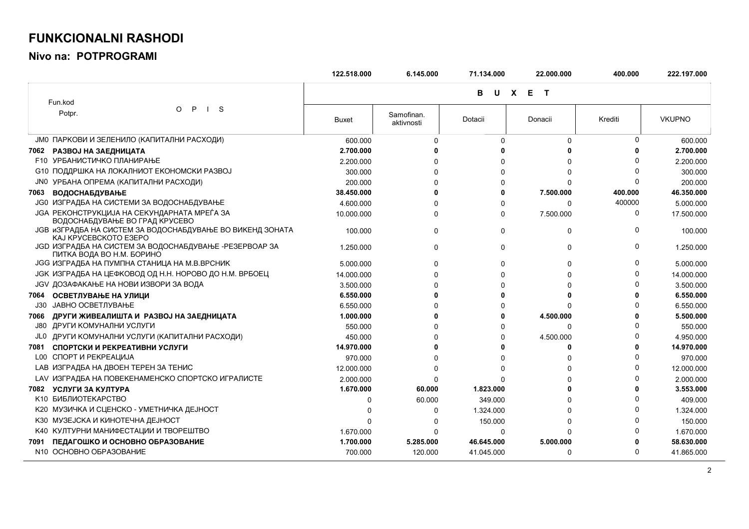## **FUNKCIONALNI RASHODI**

**Nivo na: POTPROGRAMI**

|      |                                                                                             | 122.518.000  | 6.145.000                | 71.134.000 | 22.000.000   | 400.000  | 222.197.000   |
|------|---------------------------------------------------------------------------------------------|--------------|--------------------------|------------|--------------|----------|---------------|
|      | Fun.kod                                                                                     |              |                          | в          | U X E T      |          |               |
|      | P<br>-S<br>$\circ$<br>$\mathbf{I}$<br>Potpr.                                                | <b>Buxet</b> | Samofinan.<br>aktivnosti | Dotacii    | Donacii      | Krediti  | <b>VKUPNO</b> |
|      | ЈМО ПАРКОВИ И ЗЕЛЕНИЛО (КАПИТАЛНИ РАСХОДИ)                                                  | 600.000      | $\Omega$                 | $\Omega$   | $\Omega$     | 0        | 600.000       |
| 7062 | РАЗВОЈ НА ЗАЕДНИЦАТА                                                                        | 2.700.000    |                          |            | O            | ŋ        | 2.700.000     |
|      | <b>F10 УРБАНИСТИЧКО ПЛАНИРАЊЕ</b>                                                           | 2.200.000    |                          | U          | $\Omega$     | $\Omega$ | 2.200.000     |
|      | С10 ПОДДРШКА НА ЛОКАЛНИОТ ЕКОНОМСКИ РАЗВОЈ                                                  | 300.000      |                          | O          | $\Omega$     | n        | 300.000       |
|      | ЈНО УРБАНА ОПРЕМА (КАПИТАЛНИ РАСХОДИ)                                                       | 200.000      |                          | n          | U            | 0        | 200.000       |
| 7063 | <b>ВОДОСНАБДУВАЊЕ</b>                                                                       | 38.450.000   |                          | 0          | 7.500.000    | 400.000  | 46.350.000    |
|      | <b>JG0 ИЗГРАДБА НА СИСТЕМИ ЗА ВОДОСНАБДУВАЊЕ</b>                                            | 4.600.000    |                          | $\Omega$   | 0            | 400000   | 5.000.000     |
|      | <b>JGA PEKOHCTPYKЦИЈА НА СЕКУНДАРНАТА МРЕЃА ЗА</b><br>ВОДОСНАБДУВАЊЕ ВО ГРАД КРУСЕВО        | 10.000.000   | U                        | 0          | 7.500.000    | 0        | 17.500.000    |
|      | <b>JGB иЗГРАДБА НА СИСТЕМ ЗА ВОДОСНАБДУВАЊЕ ВО ВИКЕНД ЗОНАТА</b><br>KAJ KPYCEBCKOTO E3EPO   | 100.000      | $\Omega$                 | 0          | 0            | $\Omega$ | 100.000       |
|      | <b>JGD ИЗГРАДБА НА СИСТЕМ ЗА ВОДОСНАБДУВАЊЕ - РЕЗЕРВОАР ЗА</b><br>ПИТКА ВОДА ВО Н.М. БОРИНО | 1.250.000    | $\Omega$                 | 0          | 0            | 0        | 1.250.000     |
|      | <b>JGG ИЗГРАДБА НА ПУМПНА СТАНИЦА НА М.В.ВРСНИК</b>                                         | 5.000.000    | $\Omega$                 | 0          | $\Omega$     | 0        | 5.000.000     |
|      | ЈСК ИЗГРАДБА НА ЦЕФКОВОД ОД Н.Н. НОРОВО ДО Н.М. ВРБОЕЦ                                      | 14.000.000   | $\Omega$                 | $\Omega$   | $\Omega$     | $\Omega$ | 14.000.000    |
|      | <b>JGV ДОЗАФАКАЊЕ НА НОВИ ИЗВОРИ ЗА ВОДА</b>                                                | 3.500.000    |                          | n          | $\Omega$     | n        | 3.500.000     |
| 7064 | ОСВЕТЛУВАЊЕ НА УЛИЦИ                                                                        | 6.550.000    |                          | O          | O            | 0        | 6.550.000     |
| J30. | <b>ЈАВНО ОСВЕТЛУВАЊЕ</b>                                                                    | 6.550.000    |                          | 0          | $\Omega$     | $\Omega$ | 6.550.000     |
| 7066 | ДРУГИ ЖИВЕАЛИШТА И РАЗВОЈ НА ЗАЕДНИЦАТА                                                     | 1.000.000    |                          | ŋ          | 4.500.000    | ŋ        | 5.500.000     |
|      | ДРУГИ КОМУНАЛНИ УСЛУГИ                                                                      | 550,000      |                          | $\Omega$   | 0            | O        | 550.000       |
|      | ЈЕО ДРУГИ КОМУНАЛНИ УСЛУГИ (КАПИТАЛНИ РАСХОДИ)                                              | 450.000      |                          | 0          | 4.500.000    | $\Omega$ | 4.950.000     |
| 7081 | СПОРТСКИ И РЕКРЕАТИВНИ УСЛУГИ                                                               | 14.970.000   |                          | O          | $\bf{0}$     | O        | 14.970.000    |
|      | <b>L00 СПОРТ И РЕКРЕАЦИЈА</b>                                                               | 970,000      |                          | n          | <sup>0</sup> | n        | 970.000       |
|      | <b>LAB ИЗГРАДБА НА ДВОЕН ТЕРЕН ЗА ТЕНИС</b>                                                 | 12.000.000   | ∩                        | 0          | $\Omega$     | $\Omega$ | 12.000.000    |
|      | LAV ИЗГРАДБА НА ПОВЕКЕНАМЕНСКО СПОРТСКО ИГРАЛИСТЕ                                           | 2.000.000    | $\Omega$                 |            | U            | $\Omega$ | 2.000.000     |
| 7082 | УСЛУГИ ЗА КУЛТУРА                                                                           | 1.670.000    | 60,000                   | 1.823.000  | n            | O        | 3.553.000     |
|      | К10 БИБЛИОТЕКАРСТВО                                                                         | 0            | 60.000                   | 349.000    | $\Omega$     | $\Omega$ | 409.000       |
|      | К20 МУЗИЧКА И СЦЕНСКО - УМЕТНИЧКА ДЕЈНОСТ                                                   | 0            | $\Omega$                 | 1.324.000  | $\Omega$     | $\Omega$ | 1.324.000     |
|      | КЗ0 МУЗЕЈСКА И КИНОТЕЧНА ДЕЈНОСТ                                                            | 0            | $\Omega$                 | 150.000    | $\Omega$     |          | 150.000       |
|      | К40 КУЛТУРНИ МАНИФЕСТАЦИИ И ТВОРЕШТВО                                                       | 1.670.000    | 0                        | 0          | $\Omega$     |          | 1.670.000     |
| 7091 | ПЕДАГОШКО И ОСНОВНО ОБРАЗОВАНИЕ                                                             | 1.700.000    | 5.285.000                | 46.645.000 | 5.000.000    | 0        | 58.630.000    |
|      | N10 OCHOBHO OБРАЗОВАНИЕ                                                                     | 700.000      | 120.000                  | 41.045.000 | 0            | $\Omega$ | 41.865.000    |